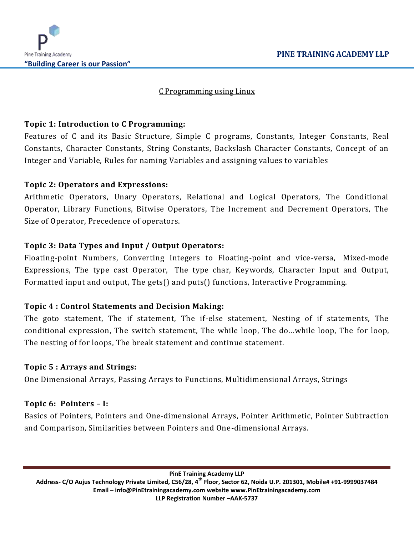

# C Programming using Linux

## **Topic 1: Introduction to C Programming:**

Features of C and its Basic Structure, Simple C programs, Constants, Integer Constants, Real Constants, Character Constants, String Constants, Backslash Character Constants, Concept of an Integer and Variable, Rules for naming Variables and assigning values to variables

# **Topic 2: Operators and Expressions:**

Arithmetic Operators, Unary Operators, Relational and Logical Operators, The Conditional Operator, Library Functions, Bitwise Operators, The Increment and Decrement Operators, The Size of Operator, Precedence of operators.

# **Topic 3: Data Types and Input / Output Operators:**

Floating-point Numbers, Converting Integers to Floating-point and vice-versa, Mixed-mode Expressions, The type cast Operator, The type char, Keywords, Character Input and Output, Formatted input and output, The gets() and puts() functions, Interactive Programming.

### **Topic 4 : Control Statements and Decision Making:**

The goto statement, The if statement, The if-else statement, Nesting of if statements, The conditional expression, The switch statement, The while loop, The do…while loop, The for loop, The nesting of for loops, The break statement and continue statement.

### **Topic 5 : Arrays and Strings:**

One Dimensional Arrays, Passing Arrays to Functions, Multidimensional Arrays, Strings

### **Topic 6: Pointers – I:**

Basics of Pointers, Pointers and One-dimensional Arrays, Pointer Arithmetic, Pointer Subtraction and Comparison, Similarities between Pointers and One-dimensional Arrays.

**PinE Training Academy LLP Address- C/O Aujus Technology Private Limited, C56/28, 4th Floor, Sector 62, Noida U.P. 201301, Mobile# +91-9999037484 Email – [info@PinEtrainingacademy.com](mailto:info@pinetrainingacademy.com) website [www.PinEtrainingacademy.com](http://www.pinetrainingacademy.com/) LLP Registration Number –AAK-5737**